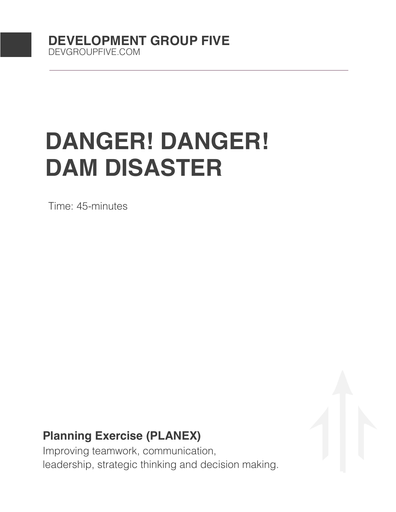# **DANGER! DANGER! DAM DISASTER**

Time: 45-minutes

# **Planning Exercise (PLANEX)**

Improving teamwork, communication, leadership, strategic thinking and decision making.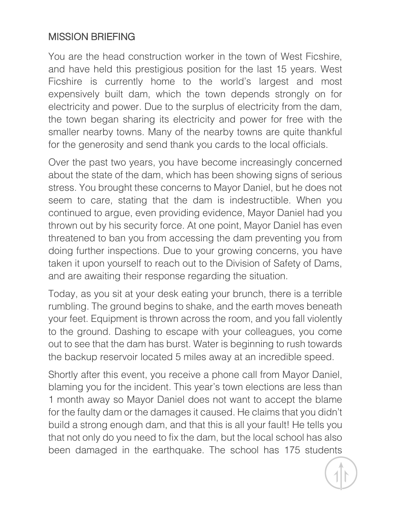## MISSION BRIEFING

You are the head construction worker in the town of West Ficshire, and have held this prestigious position for the last 15 years. West Ficshire is currently home to the world's largest and most expensively built dam, which the town depends strongly on for electricity and power. Due to the surplus of electricity from the dam, the town began sharing its electricity and power for free with the smaller nearby towns. Many of the nearby towns are quite thankful for the generosity and send thank you cards to the local officials.

Over the past two years, you have become increasingly concerned about the state of the dam, which has been showing signs of serious stress. You brought these concerns to Mayor Daniel, but he does not seem to care, stating that the dam is indestructible. When you continued to argue, even providing evidence, Mayor Daniel had you thrown out by his security force. At one point, Mayor Daniel has even threatened to ban you from accessing the dam preventing you from doing further inspections. Due to your growing concerns, you have taken it upon yourself to reach out to the Division of Safety of Dams, and are awaiting their response regarding the situation.

Today, as you sit at your desk eating your brunch, there is a terrible rumbling. The ground begins to shake, and the earth moves beneath your feet. Equipment is thrown across the room, and you fall violently to the ground. Dashing to escape with your colleagues, you come out to see that the dam has burst. Water is beginning to rush towards the backup reservoir located 5 miles away at an incredible speed.

Shortly after this event, you receive a phone call from Mayor Daniel, blaming you for the incident. This year's town elections are less than 1 month away so Mayor Daniel does not want to accept the blame for the faulty dam or the damages it caused. He claims that you didn't build a strong enough dam, and that this is all your fault! He tells you that not only do you need to fix the dam, but the local school has also been damaged in the earthquake. The school has 175 students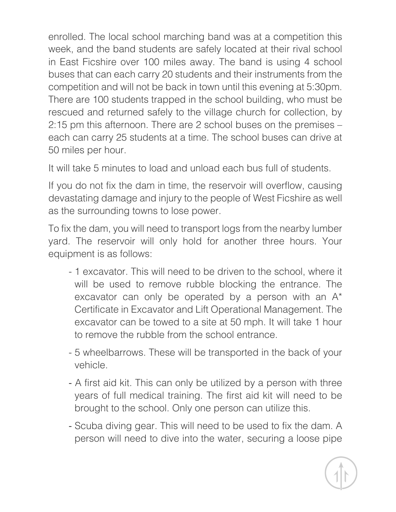enrolled. The local school marching band was at a competition this week, and the band students are safely located at their rival school in East Ficshire over 100 miles away. The band is using 4 school buses that can each carry 20 students and their instruments from the competition and will not be back in town until this evening at 5:30pm. There are 100 students trapped in the school building, who must be rescued and returned safely to the village church for collection, by 2:15 pm this afternoon. There are 2 school buses on the premises – each can carry 25 students at a time. The school buses can drive at 50 miles per hour.

It will take 5 minutes to load and unload each bus full of students.

If you do not fix the dam in time, the reservoir will overflow, causing devastating damage and injury to the people of West Ficshire as well as the surrounding towns to lose power.

To fix the dam, you will need to transport logs from the nearby lumber yard. The reservoir will only hold for another three hours. Your equipment is as follows:

- 1 excavator. This will need to be driven to the school, where it will be used to remove rubble blocking the entrance. The excavator can only be operated by a person with an A\* Certificate in Excavator and Lift Operational Management. The excavator can be towed to a site at 50 mph. It will take 1 hour to remove the rubble from the school entrance.
- 5 wheelbarrows. These will be transported in the back of your vehicle.
- A first aid kit. This can only be utilized by a person with three years of full medical training. The first aid kit will need to be brought to the school. Only one person can utilize this.
- Scuba diving gear. This will need to be used to fix the dam. A person will need to dive into the water, securing a loose pipe

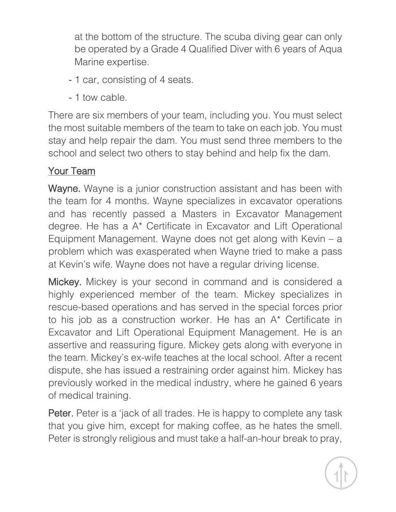at the bottom of the structure. The scuba diving gear can only be operated by a Grade 4 Qualified Diver with 6 years of Aqua Marine expertise.

- 1 car, consisting of 4 seats.
- 1 tow cable.

There are six members of your team, including you. You must select the most suitable members of the team to take on each job. You must stay and help repair the dam. You must send three members to the school and select two others to stay behind and help fix the dam.

## Your Team

Wayne. Wayne is a junior construction assistant and has been with the team for 4 months. Wayne specializes in excavator operations and has recently passed a Masters in Excavator Management degree. He has a A\* Certificate in Excavator and Lift Operational Equipment Management. Wayne does not get along with Kevin – a problem which was exasperated when Wayne tried to make a pass at Kevin's wife. Wayne does not have a regular driving license.

Mickey. Mickey is your second in command and is considered a highly experienced member of the team. Mickey specializes in rescue-based operations and has served in the special forces prior to his job as a construction worker. He has an A\* Certificate in Excavator and Lift Operational Equipment Management. He is an assertive and reassuring figure. Mickey gets along with everyone in the team. Mickey's ex-wife teaches at the local school. After a recent dispute, she has issued a restraining order against him. Mickey has previously worked in the medical industry, where he gained 6 years of medical training.

Peter. Peter is a 'jack of all trades. He is happy to complete any task that you give him, except for making coffee, as he hates the smell. Peter is strongly religious and must take a half-an-hour break to pray,

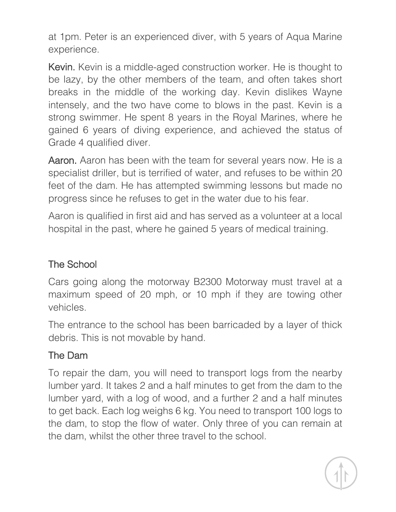at 1pm. Peter is an experienced diver, with 5 years of Aqua Marine experience.

Kevin. Kevin is a middle-aged construction worker. He is thought to be lazy, by the other members of the team, and often takes short breaks in the middle of the working day. Kevin dislikes Wayne intensely, and the two have come to blows in the past. Kevin is a strong swimmer. He spent 8 years in the Royal Marines, where he gained 6 years of diving experience, and achieved the status of Grade 4 qualified diver.

Aaron. Aaron has been with the team for several years now. He is a specialist driller, but is terrified of water, and refuses to be within 20 feet of the dam. He has attempted swimming lessons but made no progress since he refuses to get in the water due to his fear.

Aaron is qualified in first aid and has served as a volunteer at a local hospital in the past, where he gained 5 years of medical training.

#### The School

Cars going along the motorway B2300 Motorway must travel at a maximum speed of 20 mph, or 10 mph if they are towing other vehicles.

The entrance to the school has been barricaded by a layer of thick debris. This is not movable by hand.

#### The Dam

To repair the dam, you will need to transport logs from the nearby lumber yard. It takes 2 and a half minutes to get from the dam to the lumber yard, with a log of wood, and a further 2 and a half minutes to get back. Each log weighs 6 kg. You need to transport 100 logs to the dam, to stop the flow of water. Only three of you can remain at the dam, whilst the other three travel to the school.

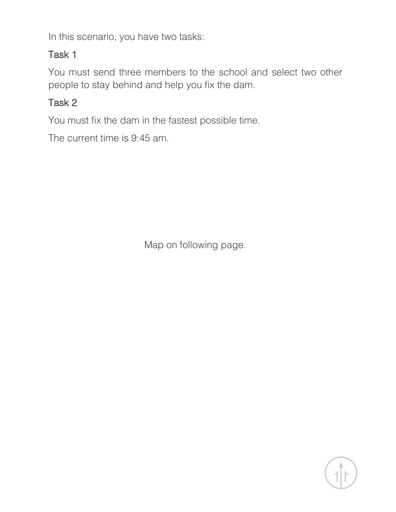In this scenario, you have two tasks:

#### Task 1

You must send three members to the school and select two other people to stay behind and help you fix the dam.

#### Task 2

You must fix the dam in the fastest possible time.

The current time is 9:45 am.

Map on following page.

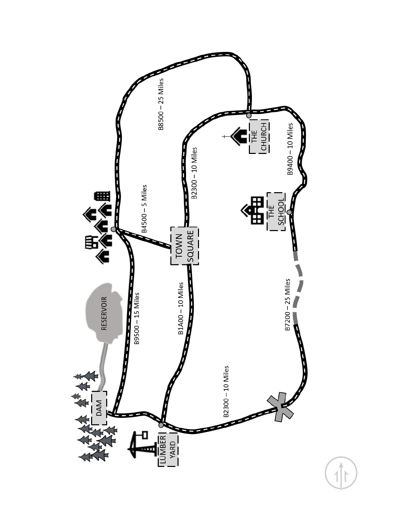